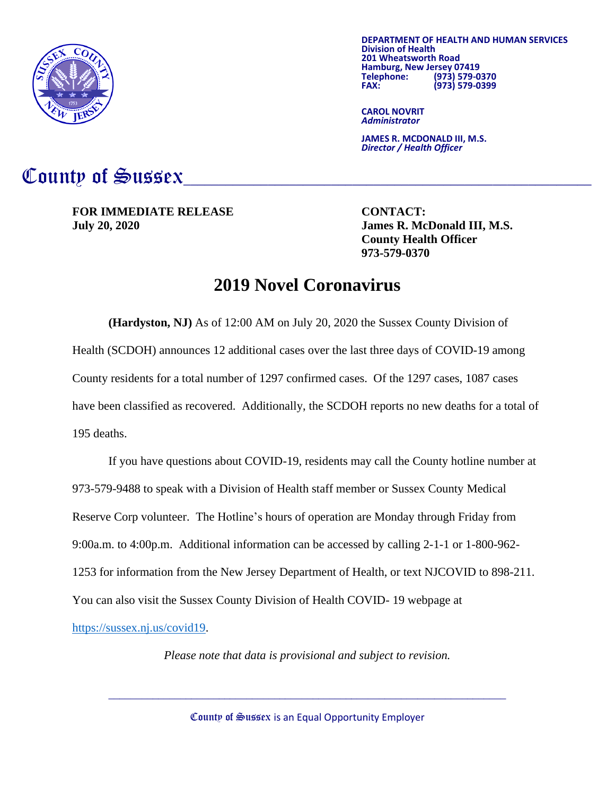

**DEPARTMENT OF HEALTH AND HUMAN SERVICES Division of Health 201 Wheatsworth Road Hamburg, New Jersey 07419 Telephone: (973) 579-0370 FAX: (973) 579-0399**

**CAROL NOVRIT** *Administrator*

**JAMES R. MCDONALD III, M.S.** *Director / Health Officer*

## County of Sussex

**FOR IMMEDIATE RELEASE CONTACT: July 20, 2020 James R. McDonald III, M.S.**

**County Health Officer 973-579-0370**

## **2019 Novel Coronavirus**

**(Hardyston, NJ)** As of 12:00 AM on July 20, 2020 the Sussex County Division of Health (SCDOH) announces 12 additional cases over the last three days of COVID-19 among County residents for a total number of 1297 confirmed cases. Of the 1297 cases, 1087 cases have been classified as recovered. Additionally, the SCDOH reports no new deaths for a total of 195 deaths.

If you have questions about COVID-19, residents may call the County hotline number at 973-579-9488 to speak with a Division of Health staff member or Sussex County Medical Reserve Corp volunteer. The Hotline's hours of operation are Monday through Friday from 9:00a.m. to 4:00p.m. Additional information can be accessed by calling 2-1-1 or 1-800-962- 1253 for information from the New Jersey Department of Health, or text NJCOVID to 898-211. You can also visit the Sussex County Division of Health COVID- 19 webpage at

[https://sussex.nj.us/covid19.](https://sussex.nj.us/covid19)

*Please note that data is provisional and subject to revision.*

County of Sussex is an Equal Opportunity Employer

 $\mathcal{L}_\text{max} = \mathcal{L}_\text{max} = \mathcal{L}_\text{max} = \mathcal{L}_\text{max} = \mathcal{L}_\text{max} = \mathcal{L}_\text{max} = \mathcal{L}_\text{max} = \mathcal{L}_\text{max} = \mathcal{L}_\text{max} = \mathcal{L}_\text{max} = \mathcal{L}_\text{max} = \mathcal{L}_\text{max} = \mathcal{L}_\text{max} = \mathcal{L}_\text{max} = \mathcal{L}_\text{max} = \mathcal{L}_\text{max} = \mathcal{L}_\text{max} = \mathcal{L}_\text{max} = \mathcal{$